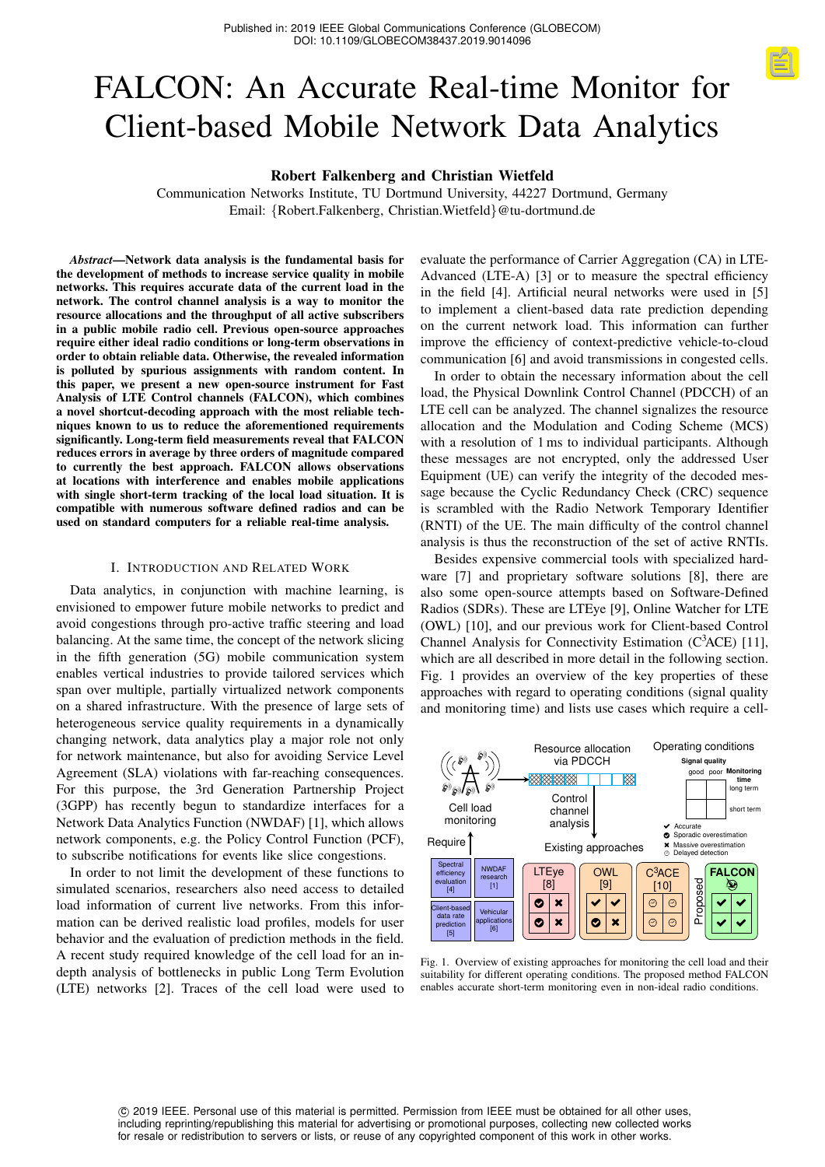# FALCON: An Accurate Real-time Monitor for Client-based Mobile Network Data Analytics

## Robert Falkenberg and Christian Wietfeld

Communication Networks Institute, TU Dortmund University, 44227 Dortmund, Germany Email: {Robert.Falkenberg, Christian.Wietfeld}@tu-dortmund.de

*Abstract*—Network data analysis is the fundamental basis for the development of methods to increase service quality in mobile networks. This requires accurate data of the current load in the network. The control channel analysis is a way to monitor the resource allocations and the throughput of all active subscribers in a public mobile radio cell. Previous open-source approaches require either ideal radio conditions or long-term observations in order to obtain reliable data. Otherwise, the revealed information is polluted by spurious assignments with random content. In this paper, we present a new open-source instrument for Fast Analysis of LTE Control channels (FALCON), which combines a novel shortcut-decoding approach with the most reliable techniques known to us to reduce the aforementioned requirements significantly. Long-term field measurements reveal that FALCON reduces errors in average by three orders of magnitude compared to currently the best approach. FALCON allows observations at locations with interference and enables mobile applications with single short-term tracking of the local load situation. It is compatible with numerous software defined radios and can be used on standard computers for a reliable real-time analysis.

#### I. INTRODUCTION AND RELATED WORK

Data analytics, in conjunction with machine learning, is envisioned to empower future mobile networks to predict and avoid congestions through pro-active traffic steering and load balancing. At the same time, the concept of the network slicing in the fifth generation (5G) mobile communication system enables vertical industries to provide tailored services which span over multiple, partially virtualized network components on a shared infrastructure. With the presence of large sets of heterogeneous service quality requirements in a dynamically changing network, data analytics play a major role not only for network maintenance, but also for avoiding Service Level Agreement (SLA) violations with far-reaching consequences. For this purpose, the 3rd Generation Partnership Project (3GPP) has recently begun to standardize interfaces for a Network Data Analytics Function (NWDAF) [\[1\]](#page-6-0), which allows network components, e.g. the Policy Control Function (PCF), to subscribe notifications for events like slice congestions.

In order to not limit the development of these functions to simulated scenarios, researchers also need access to detailed load information of current live networks. From this information can be derived realistic load profiles, models for user behavior and the evaluation of prediction methods in the field. A recent study required knowledge of the cell load for an indepth analysis of bottlenecks in public Long Term Evolution (LTE) networks [\[2\]](#page-6-1). Traces of the cell load were used to

evaluate the performance of Carrier Aggregation (CA) in LTE-Advanced (LTE-A) [\[3\]](#page-6-2) or to measure the spectral efficiency in the field [\[4\]](#page-6-3). Artificial neural networks were used in [\[5\]](#page-6-4) to implement a client-based data rate prediction depending on the current network load. This information can further improve the efficiency of context-predictive vehicle-to-cloud communication [\[6\]](#page-6-5) and avoid transmissions in congested cells.

In order to obtain the necessary information about the cell load, the Physical Downlink Control Channel (PDCCH) of an LTE cell can be analyzed. The channel signalizes the resource allocation and the Modulation and Coding Scheme (MCS) with a resolution of 1 ms to individual participants. Although these messages are not encrypted, only the addressed User Equipment (UE) can verify the integrity of the decoded message because the Cyclic Redundancy Check (CRC) sequence is scrambled with the Radio Network Temporary Identifier (RNTI) of the UE. The main difficulty of the control channel analysis is thus the reconstruction of the set of active RNTIs.

Besides expensive commercial tools with specialized hardware [\[7\]](#page-6-6) and proprietary software solutions [\[8\]](#page-6-7), there are also some open-source attempts based on Software-Defined Radios (SDRs). These are LTEye [\[9\]](#page-6-8), Online Watcher for LTE (OWL) [\[10\]](#page-6-9), and our previous work for Client-based Control Channel Analysis for Connectivity Estimation  $(C<sup>3</sup>ACE)$  [\[11\]](#page-6-10), which are all described in more detail in the following section. Fig. [1](#page-0-0) provides an overview of the key properties of these approaches with regard to operating conditions (signal quality and monitoring time) and lists use cases which require a cell-



<span id="page-0-0"></span>Fig. 1. Overview of existing approaches for monitoring the cell load and their suitability for different operating conditions. The proposed method FALCON enables accurate short-term monitoring even in non-ideal radio conditions.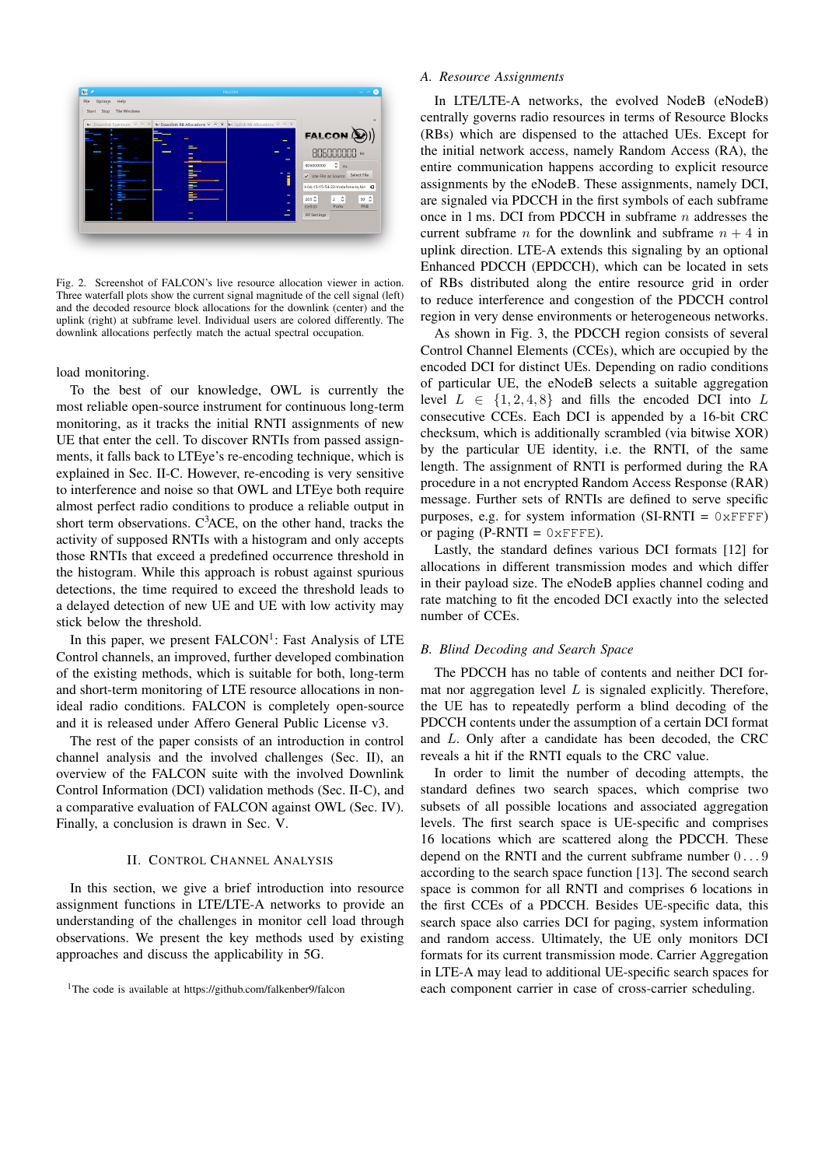

<span id="page-1-3"></span>Fig. 2. Screenshot of FALCON's live resource allocation viewer in action. Three waterfall plots show the current signal magnitude of the cell signal (left) and the decoded resource block allocations for the downlink (center) and the uplink (right) at subframe level. Individual users are colored differently. The downlink allocations perfectly match the actual spectral occupation.

load monitoring.

To the best of our knowledge, OWL is currently the most reliable open-source instrument for continuous long-term monitoring, as it tracks the initial RNTI assignments of new UE that enter the cell. To discover RNTIs from passed assignments, it falls back to LTEye's re-encoding technique, which is explained in Sec. [II-C.](#page-2-0) However, re-encoding is very sensitive to interference and noise so that OWL and LTEye both require almost perfect radio conditions to produce a reliable output in short term observations.  $C<sup>3</sup>ACE$ , on the other hand, tracks the activity of supposed RNTIs with a histogram and only accepts those RNTIs that exceed a predefined occurrence threshold in the histogram. While this approach is robust against spurious detections, the time required to exceed the threshold leads to a delayed detection of new UE and UE with low activity may stick below the threshold.

In this paper, we present FALCON<sup>[1](#page-1-0)</sup>: Fast Analysis of LTE Control channels, an improved, further developed combination of the existing methods, which is suitable for both, long-term and short-term monitoring of LTE resource allocations in nonideal radio conditions. FALCON is completely open-source and it is released under Affero General Public License v3.

The rest of the paper consists of an introduction in control channel analysis and the involved challenges (Sec. [II\)](#page-1-1), an overview of the FALCON suite with the involved Downlink Control Information (DCI) validation methods (Sec. [II-C\)](#page-2-0), and a comparative evaluation of FALCON against OWL (Sec. [IV\)](#page-4-0). Finally, a conclusion is drawn in Sec. [V.](#page-6-11)

## II. CONTROL CHANNEL ANALYSIS

<span id="page-1-1"></span>In this section, we give a brief introduction into resource assignment functions in LTE/LTE-A networks to provide an understanding of the challenges in monitor cell load through observations. We present the key methods used by existing approaches and discuss the applicability in 5G.

#### *A. Resource Assignments*

In LTE/LTE-A networks, the evolved NodeB (eNodeB) centrally governs radio resources in terms of Resource Blocks (RBs) which are dispensed to the attached UEs. Except for the initial network access, namely Random Access (RA), the entire communication happens according to explicit resource assignments by the eNodeB. These assignments, namely DCI, are signaled via PDCCH in the first symbols of each subframe once in 1 ms. DCI from PDCCH in subframe  $n$  addresses the current subframe *n* for the downlink and subframe  $n + 4$  in uplink direction. LTE-A extends this signaling by an optional Enhanced PDCCH (EPDCCH), which can be located in sets of RBs distributed along the entire resource grid in order to reduce interference and congestion of the PDCCH control region in very dense environments or heterogeneous networks.

As shown in Fig. [3,](#page-3-0) the PDCCH region consists of several Control Channel Elements (CCEs), which are occupied by the encoded DCI for distinct UEs. Depending on radio conditions of particular UE, the eNodeB selects a suitable aggregation level  $L \in \{1, 2, 4, 8\}$  and fills the encoded DCI into L consecutive CCEs. Each DCI is appended by a 16-bit CRC checksum, which is additionally scrambled (via bitwise XOR) by the particular UE identity, i.e. the RNTI, of the same length. The assignment of RNTI is performed during the RA procedure in a not encrypted Random Access Response (RAR) message. Further sets of RNTIs are defined to serve specific purposes, e.g. for system information (SI-RNTI =  $0 \times FFFF$ ) or paging  $(P-RNTI = 0 \times FFFF)$ .

Lastly, the standard defines various DCI formats [\[12\]](#page-6-12) for allocations in different transmission modes and which differ in their payload size. The eNodeB applies channel coding and rate matching to fit the encoded DCI exactly into the selected number of CCEs.

#### <span id="page-1-2"></span>*B. Blind Decoding and Search Space*

The PDCCH has no table of contents and neither DCI format nor aggregation level  $L$  is signaled explicitly. Therefore, the UE has to repeatedly perform a blind decoding of the PDCCH contents under the assumption of a certain DCI format and L. Only after a candidate has been decoded, the CRC reveals a hit if the RNTI equals to the CRC value.

In order to limit the number of decoding attempts, the standard defines two search spaces, which comprise two subsets of all possible locations and associated aggregation levels. The first search space is UE-specific and comprises 16 locations which are scattered along the PDCCH. These depend on the RNTI and the current subframe number 0 . . . 9 according to the search space function [\[13\]](#page-6-13). The second search space is common for all RNTI and comprises 6 locations in the first CCEs of a PDCCH. Besides UE-specific data, this search space also carries DCI for paging, system information and random access. Ultimately, the UE only monitors DCI formats for its current transmission mode. Carrier Aggregation in LTE-A may lead to additional UE-specific search spaces for each component carrier in case of cross-carrier scheduling.

<span id="page-1-0"></span><sup>&</sup>lt;sup>1</sup>The code is available at<https://github.com/falkenber9/falcon>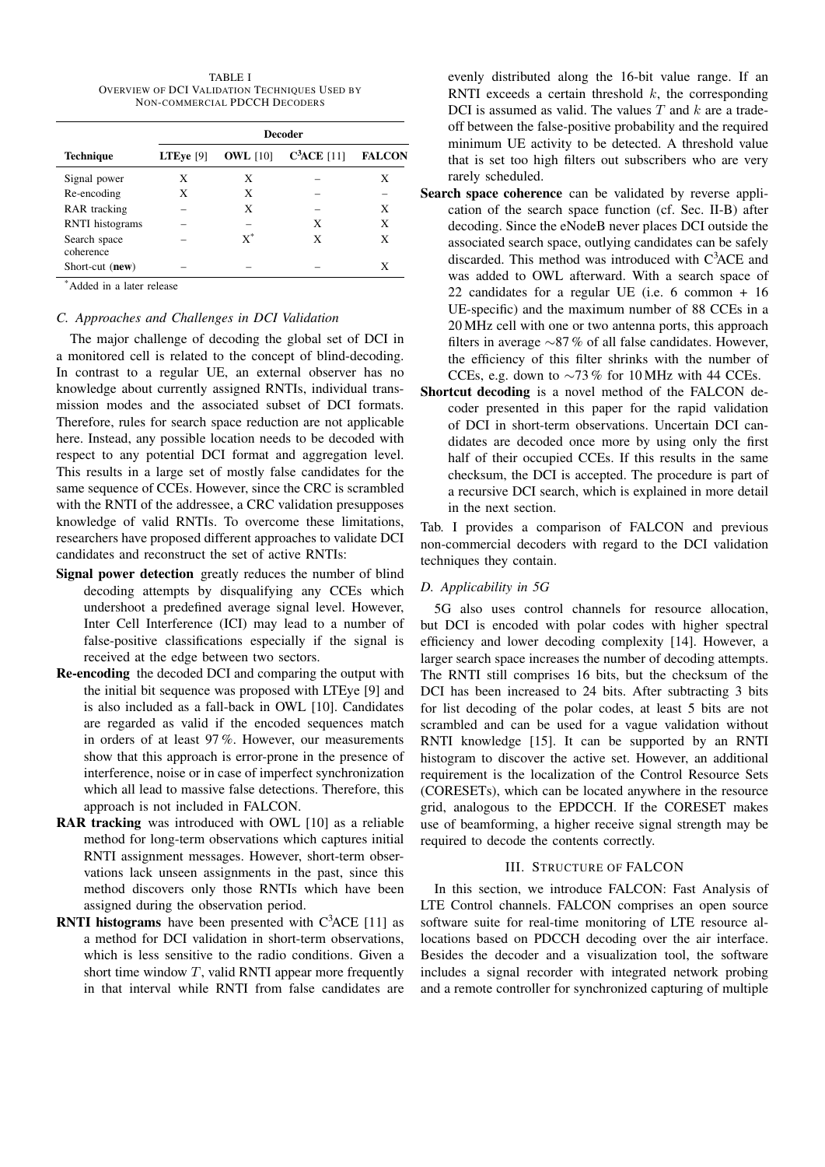TABLE I OVERVIEW OF DCI VALIDATION TECHNIQUES USED BY NON-COMMERCIAL PDCCH DECODERS

<span id="page-2-1"></span>

|                           | <b>Decoder</b>     |                 |              |               |  |
|---------------------------|--------------------|-----------------|--------------|---------------|--|
| <b>Technique</b>          | <b>LTEye</b> $[9]$ | <b>OWL</b> [10] | $C3ACE$ [11] | <b>FALCON</b> |  |
| Signal power              | X                  | X               |              | X             |  |
| Re-encoding               | X                  | X               |              |               |  |
| <b>RAR</b> tracking       |                    | X               |              | X             |  |
| <b>RNTI</b> histograms    |                    |                 | X            | X             |  |
| Search space<br>coherence |                    | $\mathrm{x}^*$  | X            | X             |  |
| Short-cut (new)           |                    |                 |              | X             |  |

\*Added in a later release

#### <span id="page-2-0"></span>*C. Approaches and Challenges in DCI Validation*

The major challenge of decoding the global set of DCI in a monitored cell is related to the concept of blind-decoding. In contrast to a regular UE, an external observer has no knowledge about currently assigned RNTIs, individual transmission modes and the associated subset of DCI formats. Therefore, rules for search space reduction are not applicable here. Instead, any possible location needs to be decoded with respect to any potential DCI format and aggregation level. This results in a large set of mostly false candidates for the same sequence of CCEs. However, since the CRC is scrambled with the RNTI of the addressee, a CRC validation presupposes knowledge of valid RNTIs. To overcome these limitations, researchers have proposed different approaches to validate DCI candidates and reconstruct the set of active RNTIs:

- Signal power detection greatly reduces the number of blind decoding attempts by disqualifying any CCEs which undershoot a predefined average signal level. However, Inter Cell Interference (ICI) may lead to a number of false-positive classifications especially if the signal is received at the edge between two sectors.
- Re-encoding the decoded DCI and comparing the output with the initial bit sequence was proposed with LTEye [\[9\]](#page-6-8) and is also included as a fall-back in OWL [\[10\]](#page-6-9). Candidates are regarded as valid if the encoded sequences match in orders of at least 97 %. However, our measurements show that this approach is error-prone in the presence of interference, noise or in case of imperfect synchronization which all lead to massive false detections. Therefore, this approach is not included in FALCON.
- RAR tracking was introduced with OWL [\[10\]](#page-6-9) as a reliable method for long-term observations which captures initial RNTI assignment messages. However, short-term observations lack unseen assignments in the past, since this method discovers only those RNTIs which have been assigned during the observation period.
- **RNTI histograms** have been presented with  $C^3$ ACE [\[11\]](#page-6-10) as a method for DCI validation in short-term observations, which is less sensitive to the radio conditions. Given a short time window  $T$ , valid RNTI appear more frequently in that interval while RNTI from false candidates are

evenly distributed along the 16-bit value range. If an RNTI exceeds a certain threshold  $k$ , the corresponding DCI is assumed as valid. The values  $T$  and  $k$  are a tradeoff between the false-positive probability and the required minimum UE activity to be detected. A threshold value that is set too high filters out subscribers who are very rarely scheduled.

- Search space coherence can be validated by reverse application of the search space function (cf. Sec. [II-B\)](#page-1-2) after decoding. Since the eNodeB never places DCI outside the associated search space, outlying candidates can be safely discarded. This method was introduced with C3ACE and was added to OWL afterward. With a search space of 22 candidates for a regular UE (i.e. 6 common + 16 UE-specific) and the maximum number of 88 CCEs in a 20 MHz cell with one or two antenna ports, this approach filters in average ∼87 % of all false candidates. However, the efficiency of this filter shrinks with the number of CCEs, e.g. down to  $\sim$ 73 % for 10 MHz with 44 CCEs.
- Shortcut decoding is a novel method of the FALCON decoder presented in this paper for the rapid validation of DCI in short-term observations. Uncertain DCI candidates are decoded once more by using only the first half of their occupied CCEs. If this results in the same checksum, the DCI is accepted. The procedure is part of a recursive DCI search, which is explained in more detail in the next section.

Tab. [I](#page-2-1) provides a comparison of FALCON and previous non-commercial decoders with regard to the DCI validation techniques they contain.

## *D. Applicability in 5G*

5G also uses control channels for resource allocation, but DCI is encoded with polar codes with higher spectral efficiency and lower decoding complexity [\[14\]](#page-6-14). However, a larger search space increases the number of decoding attempts. The RNTI still comprises 16 bits, but the checksum of the DCI has been increased to 24 bits. After subtracting 3 bits for list decoding of the polar codes, at least 5 bits are not scrambled and can be used for a vague validation without RNTI knowledge [\[15\]](#page-6-15). It can be supported by an RNTI histogram to discover the active set. However, an additional requirement is the localization of the Control Resource Sets (CORESETs), which can be located anywhere in the resource grid, analogous to the EPDCCH. If the CORESET makes use of beamforming, a higher receive signal strength may be required to decode the contents correctly.

#### III. STRUCTURE OF FALCON

In this section, we introduce FALCON: Fast Analysis of LTE Control channels. FALCON comprises an open source software suite for real-time monitoring of LTE resource allocations based on PDCCH decoding over the air interface. Besides the decoder and a visualization tool, the software includes a signal recorder with integrated network probing and a remote controller for synchronized capturing of multiple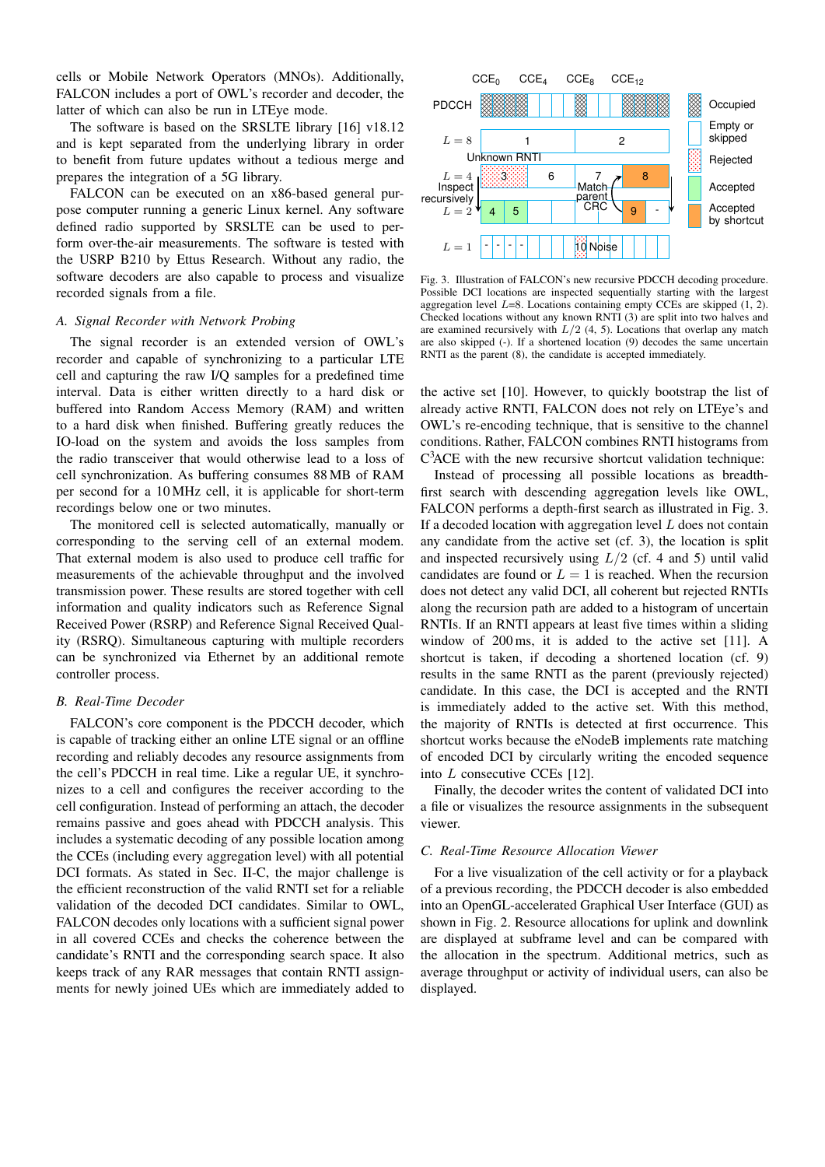cells or Mobile Network Operators (MNOs). Additionally, FALCON includes a port of OWL's recorder and decoder, the latter of which can also be run in LTEye mode.

The software is based on the SRSLTE library [\[16\]](#page-6-16) v18.12 and is kept separated from the underlying library in order to benefit from future updates without a tedious merge and prepares the integration of a 5G library.

FALCON can be executed on an x86-based general purpose computer running a generic Linux kernel. Any software defined radio supported by SRSLTE can be used to perform over-the-air measurements. The software is tested with the USRP B210 by Ettus Research. Without any radio, the software decoders are also capable to process and visualize recorded signals from a file.

#### <span id="page-3-1"></span>*A. Signal Recorder with Network Probing*

The signal recorder is an extended version of OWL's recorder and capable of synchronizing to a particular LTE cell and capturing the raw I/Q samples for a predefined time interval. Data is either written directly to a hard disk or buffered into Random Access Memory (RAM) and written to a hard disk when finished. Buffering greatly reduces the IO-load on the system and avoids the loss samples from the radio transceiver that would otherwise lead to a loss of cell synchronization. As buffering consumes 88 MB of RAM per second for a 10 MHz cell, it is applicable for short-term recordings below one or two minutes.

The monitored cell is selected automatically, manually or corresponding to the serving cell of an external modem. That external modem is also used to produce cell traffic for measurements of the achievable throughput and the involved transmission power. These results are stored together with cell information and quality indicators such as Reference Signal Received Power (RSRP) and Reference Signal Received Quality (RSRQ). Simultaneous capturing with multiple recorders can be synchronized via Ethernet by an additional remote controller process.

## *B. Real-Time Decoder*

FALCON's core component is the PDCCH decoder, which is capable of tracking either an online LTE signal or an offline recording and reliably decodes any resource assignments from the cell's PDCCH in real time. Like a regular UE, it synchronizes to a cell and configures the receiver according to the cell configuration. Instead of performing an attach, the decoder remains passive and goes ahead with PDCCH analysis. This includes a systematic decoding of any possible location among the CCEs (including every aggregation level) with all potential DCI formats. As stated in Sec. [II-C,](#page-2-0) the major challenge is the efficient reconstruction of the valid RNTI set for a reliable validation of the decoded DCI candidates. Similar to OWL, FALCON decodes only locations with a sufficient signal power in all covered CCEs and checks the coherence between the candidate's RNTI and the corresponding search space. It also keeps track of any RAR messages that contain RNTI assignments for newly joined UEs which are immediately added to



<span id="page-3-0"></span>Fig. 3. Illustration of FALCON's new recursive PDCCH decoding procedure. Possible DCI locations are inspected sequentially starting with the largest aggregation level  $L=8$ . Locations containing empty CCEs are skipped  $(1, 2)$ . Checked locations without any known RNTI (3) are split into two halves and are examined recursively with  $L/2$  (4, 5). Locations that overlap any match are also skipped (-). If a shortened location (9) decodes the same uncertain RNTI as the parent (8), the candidate is accepted immediately.

the active set [\[10\]](#page-6-9). However, to quickly bootstrap the list of already active RNTI, FALCON does not rely on LTEye's and OWL's re-encoding technique, that is sensitive to the channel conditions. Rather, FALCON combines RNTI histograms from C <sup>3</sup>ACE with the new recursive shortcut validation technique:

Instead of processing all possible locations as breadthfirst search with descending aggregation levels like OWL, FALCON performs a depth-first search as illustrated in Fig. [3.](#page-3-0) If a decoded location with aggregation level  $L$  does not contain any candidate from the active set (cf. 3), the location is split and inspected recursively using  $L/2$  (cf. 4 and 5) until valid candidates are found or  $L = 1$  is reached. When the recursion does not detect any valid DCI, all coherent but rejected RNTIs along the recursion path are added to a histogram of uncertain RNTIs. If an RNTI appears at least five times within a sliding window of 200 ms, it is added to the active set [\[11\]](#page-6-10). A shortcut is taken, if decoding a shortened location (cf. 9) results in the same RNTI as the parent (previously rejected) candidate. In this case, the DCI is accepted and the RNTI is immediately added to the active set. With this method, the majority of RNTIs is detected at first occurrence. This shortcut works because the eNodeB implements rate matching of encoded DCI by circularly writing the encoded sequence into L consecutive CCEs [\[12\]](#page-6-12).

Finally, the decoder writes the content of validated DCI into a file or visualizes the resource assignments in the subsequent viewer.

#### *C. Real-Time Resource Allocation Viewer*

For a live visualization of the cell activity or for a playback of a previous recording, the PDCCH decoder is also embedded into an OpenGL-accelerated Graphical User Interface (GUI) as shown in Fig. [2.](#page-1-3) Resource allocations for uplink and downlink are displayed at subframe level and can be compared with the allocation in the spectrum. Additional metrics, such as average throughput or activity of individual users, can also be displayed.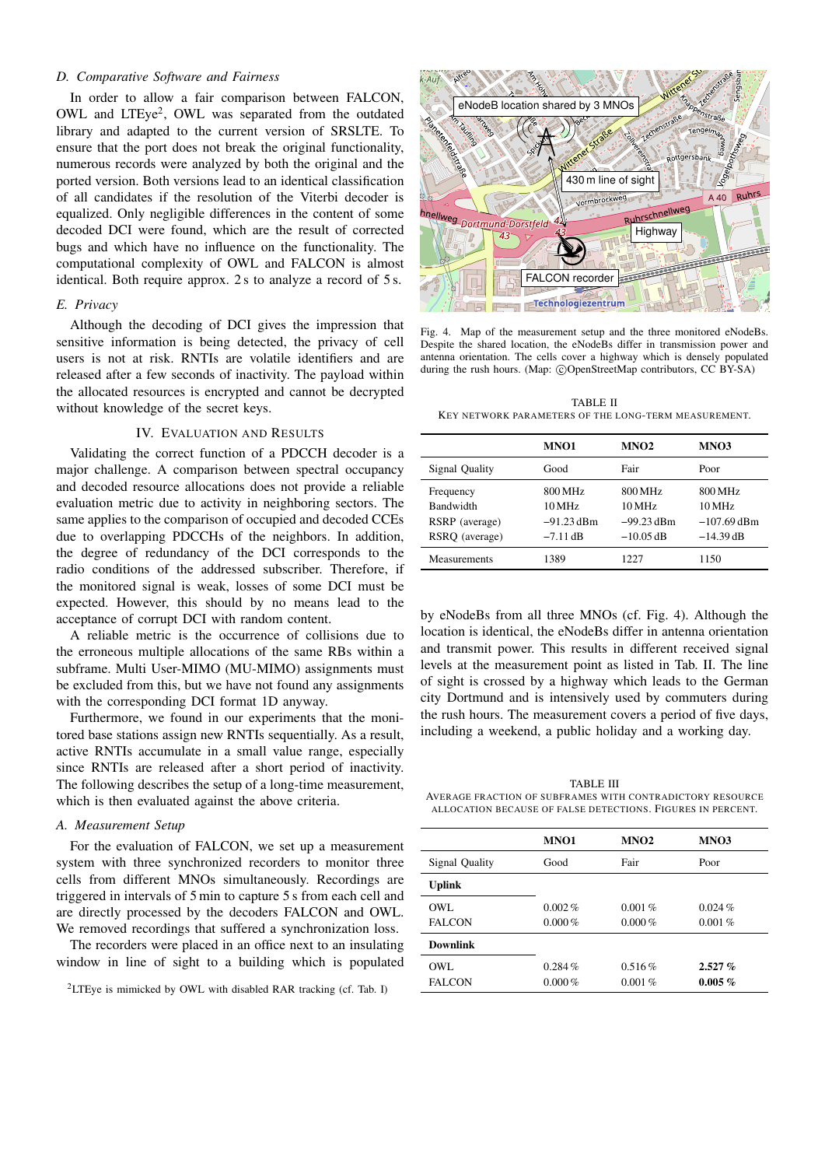## *D. Comparative Software and Fairness*

In order to allow a fair comparison between FALCON, OWL and LTEye<sup>[2](#page-4-1)</sup>, OWL was separated from the outdated library and adapted to the current version of SRSLTE. To ensure that the port does not break the original functionality, numerous records were analyzed by both the original and the ported version. Both versions lead to an identical classification of all candidates if the resolution of the Viterbi decoder is equalized. Only negligible differences in the content of some decoded DCI were found, which are the result of corrected bugs and which have no influence on the functionality. The computational complexity of OWL and FALCON is almost identical. Both require approx. 2 s to analyze a record of 5 s.

## *E. Privacy*

Although the decoding of DCI gives the impression that sensitive information is being detected, the privacy of cell users is not at risk. RNTIs are volatile identifiers and are released after a few seconds of inactivity. The payload within the allocated resources is encrypted and cannot be decrypted without knowledge of the secret keys.

### IV. EVALUATION AND RESULTS

<span id="page-4-0"></span>Validating the correct function of a PDCCH decoder is a major challenge. A comparison between spectral occupancy and decoded resource allocations does not provide a reliable evaluation metric due to activity in neighboring sectors. The same applies to the comparison of occupied and decoded CCEs due to overlapping PDCCHs of the neighbors. In addition, the degree of redundancy of the DCI corresponds to the radio conditions of the addressed subscriber. Therefore, if the monitored signal is weak, losses of some DCI must be expected. However, this should by no means lead to the acceptance of corrupt DCI with random content.

A reliable metric is the occurrence of collisions due to the erroneous multiple allocations of the same RBs within a subframe. Multi User-MIMO (MU-MIMO) assignments must be excluded from this, but we have not found any assignments with the corresponding DCI format 1D anyway.

Furthermore, we found in our experiments that the monitored base stations assign new RNTIs sequentially. As a result, active RNTIs accumulate in a small value range, especially since RNTIs are released after a short period of inactivity. The following describes the setup of a long-time measurement, which is then evaluated against the above criteria.

## *A. Measurement Setup*

For the evaluation of FALCON, we set up a measurement system with three synchronized recorders to monitor three cells from different MNOs simultaneously. Recordings are triggered in intervals of 5 min to capture 5 s from each cell and are directly processed by the decoders FALCON and OWL. We removed recordings that suffered a synchronization loss.

The recorders were placed in an office next to an insulating window in line of sight to a building which is populated



<span id="page-4-2"></span>Fig. 4. Map of the measurement setup and the three monitored eNodeBs. Despite the shared location, the eNodeBs differ in transmission power and antenna orientation. The cells cover a highway which is densely populated during the rush hours. (Map: ©OpenStreetMap contributors, CC BY-SA)

<span id="page-4-3"></span>TABLE II KEY NETWORK PARAMETERS OF THE LONG-TERM MEASUREMENT.

| MNO <sub>2</sub><br><b>MNO1</b><br>MNO3<br>Fair<br>Signal Quality<br>Good<br>Poor<br>800 MHz<br>800 MHz<br>800 MHz<br>Frequency<br><b>Bandwidth</b><br>10 MHz<br>10 MHz<br>10 MHz<br>$-91.23$ dBm<br>$-99.23$ dBm<br>RSRP (average)<br>RSRO (average)<br>$-10.05$ dB<br>$-14.39$ dB<br>$-7.11$ dB<br>1389<br>1150<br><b>Measurements</b><br>1227 |  |               |
|--------------------------------------------------------------------------------------------------------------------------------------------------------------------------------------------------------------------------------------------------------------------------------------------------------------------------------------------------|--|---------------|
|                                                                                                                                                                                                                                                                                                                                                  |  |               |
|                                                                                                                                                                                                                                                                                                                                                  |  |               |
|                                                                                                                                                                                                                                                                                                                                                  |  | $-107.69$ dBm |
|                                                                                                                                                                                                                                                                                                                                                  |  |               |

by eNodeBs from all three MNOs (cf. Fig. [4\)](#page-4-2). Although the location is identical, the eNodeBs differ in antenna orientation and transmit power. This results in different received signal levels at the measurement point as listed in Tab. [II.](#page-4-3) The line of sight is crossed by a highway which leads to the German city Dortmund and is intensively used by commuters during the rush hours. The measurement covers a period of five days, including a weekend, a public holiday and a working day.

<span id="page-4-4"></span>TABLE III AVERAGE FRACTION OF SUBFRAMES WITH CONTRADICTORY RESOURCE ALLOCATION BECAUSE OF FALSE DETECTIONS. FIGURES IN PERCENT.

|                 | <b>MNO1</b> | MNO <sub>2</sub> | MNO3       |
|-----------------|-------------|------------------|------------|
| Signal Quality  | Good        | Fair             | Poor       |
| <b>Uplink</b>   |             |                  |            |
| OWL.            | $0.002\%$   | 0.001%           | 0.024%     |
| <b>FALCON</b>   | $0.000\%$   | $0.000\%$        | 0.001%     |
| <b>Downlink</b> |             |                  |            |
| OWL.            | 0.284%      | $0.516\%$        | $2.527 \%$ |
| <b>FALCON</b>   | $0.000\%$   | $0.001\%$        | $0.005\%$  |

<span id="page-4-1"></span><sup>2</sup>LTEye is mimicked by OWL with disabled RAR tracking (cf. Tab. [I\)](#page-2-1)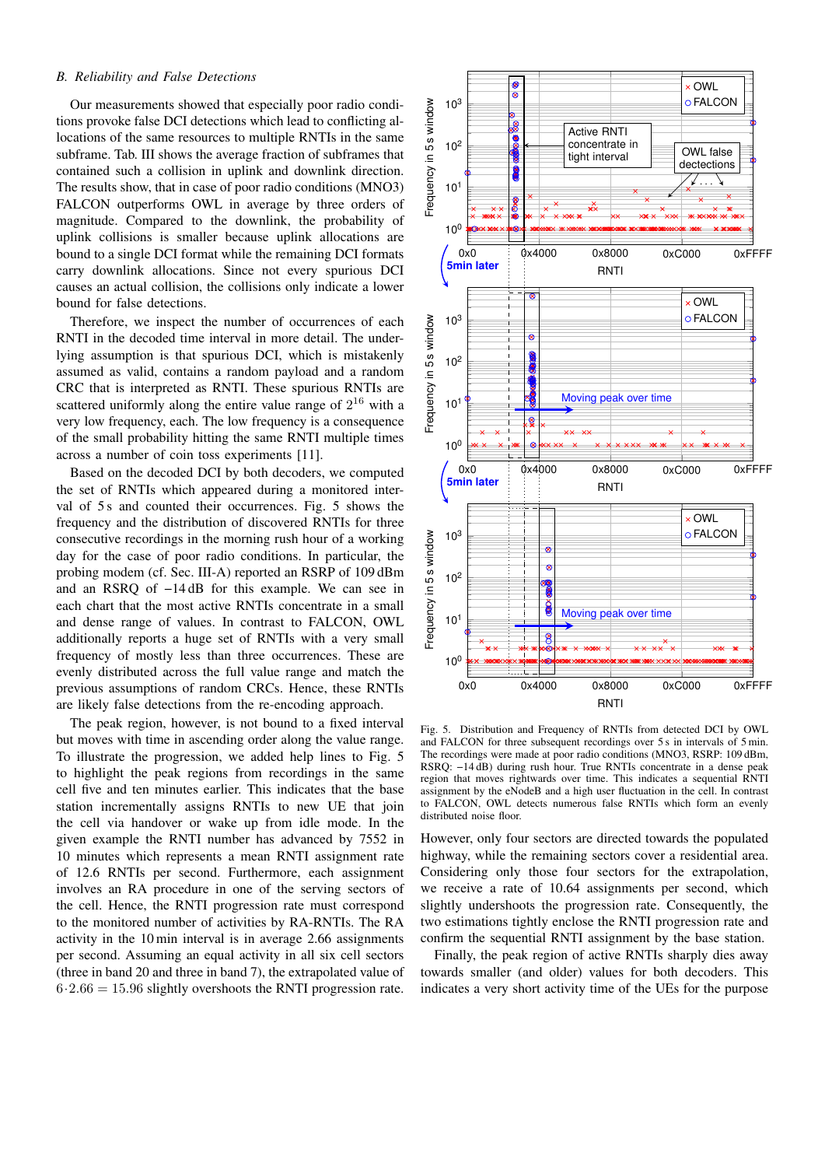## *B. Reliability and False Detections*

Our measurements showed that especially poor radio conditions provoke false DCI detections which lead to conflicting allocations of the same resources to multiple RNTIs in the same subframe. Tab. [III](#page-4-4) shows the average fraction of subframes that contained such a collision in uplink and downlink direction. The results show, that in case of poor radio conditions (MNO3) FALCON outperforms OWL in average by three orders of magnitude. Compared to the downlink, the probability of uplink collisions is smaller because uplink allocations are bound to a single DCI format while the remaining DCI formats carry downlink allocations. Since not every spurious DCI causes an actual collision, the collisions only indicate a lower bound for false detections.

Therefore, we inspect the number of occurrences of each RNTI in the decoded time interval in more detail. The underlying assumption is that spurious DCI, which is mistakenly assumed as valid, contains a random payload and a random CRC that is interpreted as RNTI. These spurious RNTIs are scattered uniformly along the entire value range of  $2^{16}$  with a very low frequency, each. The low frequency is a consequence of the small probability hitting the same RNTI multiple times across a number of coin toss experiments [\[11\]](#page-6-10).

Based on the decoded DCI by both decoders, we computed the set of RNTIs which appeared during a monitored inter-val of [5](#page-5-0) s and counted their occurrences. Fig. 5 shows the frequency and the distribution of discovered RNTIs for three consecutive recordings in the morning rush hour of a working day for the case of poor radio conditions. In particular, the probing modem (cf. Sec. [III-A\)](#page-3-1) reported an RSRP of 109 dBm and an RSRQ of −14 dB for this example. We can see in each chart that the most active RNTIs concentrate in a small and dense range of values. In contrast to FALCON, OWL additionally reports a huge set of RNTIs with a very small frequency of mostly less than three occurrences. These are evenly distributed across the full value range and match the previous assumptions of random CRCs. Hence, these RNTIs are likely false detections from the re-encoding approach.

The peak region, however, is not bound to a fixed interval but moves with time in ascending order along the value range. To illustrate the progression, we added help lines to Fig. [5](#page-5-0) to highlight the peak regions from recordings in the same cell five and ten minutes earlier. This indicates that the base station incrementally assigns RNTIs to new UE that join the cell via handover or wake up from idle mode. In the given example the RNTI number has advanced by 7552 in 10 minutes which represents a mean RNTI assignment rate of 12.6 RNTIs per second. Furthermore, each assignment involves an RA procedure in one of the serving sectors of the cell. Hence, the RNTI progression rate must correspond to the monitored number of activities by RA-RNTIs. The RA activity in the 10 min interval is in average 2.66 assignments per second. Assuming an equal activity in all six cell sectors (three in band 20 and three in band 7), the extrapolated value of  $6 \cdot 2.66 = 15.96$  slightly overshoots the RNTI progression rate.



<span id="page-5-0"></span>Fig. 5. Distribution and Frequency of RNTIs from detected DCI by OWL and FALCON for three subsequent recordings over 5 s in intervals of 5 min. The recordings were made at poor radio conditions (MNO3, RSRP: 109 dBm, RSRQ: −14 dB) during rush hour. True RNTIs concentrate in a dense peak region that moves rightwards over time. This indicates a sequential RNTI assignment by the eNodeB and a high user fluctuation in the cell. In contrast to FALCON, OWL detects numerous false RNTIs which form an evenly distributed noise floor.

However, only four sectors are directed towards the populated highway, while the remaining sectors cover a residential area. Considering only those four sectors for the extrapolation, we receive a rate of 10.64 assignments per second, which slightly undershoots the progression rate. Consequently, the two estimations tightly enclose the RNTI progression rate and confirm the sequential RNTI assignment by the base station.

Finally, the peak region of active RNTIs sharply dies away towards smaller (and older) values for both decoders. This indicates a very short activity time of the UEs for the purpose